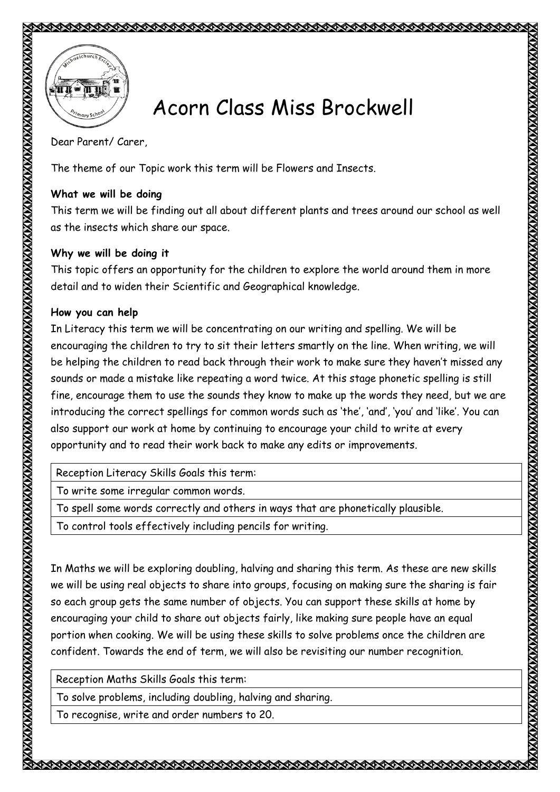



## Acorn Class Miss Brockwell

Dear Parent/ Carer,

The theme of our Topic work this term will be Flowers and Insects.

## **What we will be doing**

This term we will be finding out all about different plants and trees around our school as well as the insects which share our space.

## **Why we will be doing it**

This topic offers an opportunity for the children to explore the world around them in more detail and to widen their Scientific and Geographical knowledge.

## **How you can help**

In Literacy this term we will be concentrating on our writing and spelling. We will be encouraging the children to try to sit their letters smartly on the line. When writing, we will be helping the children to read back through their work to make sure they haven't missed any sounds or made a mistake like repeating a word twice. At this stage phonetic spelling is still fine, encourage them to use the sounds they know to make up the words they need, but we are introducing the correct spellings for common words such as 'the', 'and', 'you' and 'like'. You can also support our work at home by continuing to encourage your child to write at every opportunity and to read their work back to make any edits or improvements.

Reception Literacy Skills Goals this term:

To write some irregular common words.

To spell some words correctly and others in ways that are phonetically plausible.

To control tools effectively including pencils for writing.

In Maths we will be exploring doubling, halving and sharing this term. As these are new skills we will be using real objects to share into groups, focusing on making sure the sharing is fair so each group gets the same number of objects. You can support these skills at home by encouraging your child to share out objects fairly, like making sure people have an equal portion when cooking. We will be using these skills to solve problems once the children are confident. Towards the end of term, we will also be revisiting our number recognition.

Reception Maths Skills Goals this term:

To solve problems, including doubling, halving and sharing.

To recognise, write and order numbers to 20.